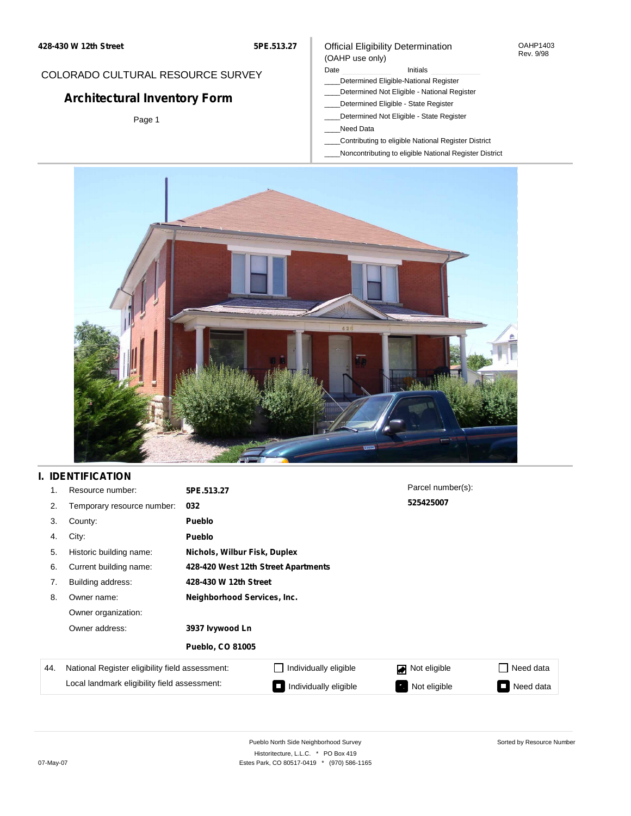**5PE.513.27**

### COLORADO CULTURAL RESOURCE SURVEY

# **Architectural Inventory Form**

Page 1

### Official Eligibility Determination (OAHP use only)

#### Date **Initials** Initials

- \_\_\_\_Determined Eligible-National Register
- \_\_\_\_Determined Not Eligible National Register
- \_\_\_\_Determined Eligible State Register
- \_\_\_\_Determined Not Eligible State Register
- \_\_\_\_Need Data
- \_\_\_\_Contributing to eligible National Register District
- \_\_\_\_Noncontributing to eligible National Register District



# **I. IDENTIFICATION**

| 1.  | Resource number:                                | 5PE.513.27                  |                                     | Parcel number(s): |           |
|-----|-------------------------------------------------|-----------------------------|-------------------------------------|-------------------|-----------|
| 2.  | Temporary resource number:                      | 032                         |                                     | 525425007         |           |
| 3.  | County:                                         | <b>Pueblo</b>               |                                     |                   |           |
| 4.  | City:                                           | <b>Pueblo</b>               |                                     |                   |           |
| 5.  | Historic building name:                         |                             | Nichols, Wilbur Fisk, Duplex        |                   |           |
| 6.  | Current building name:                          |                             | 428-420 West 12th Street Apartments |                   |           |
| 7.  | Building address:                               | 428-430 W 12th Street       |                                     |                   |           |
| 8.  | Owner name:                                     | Neighborhood Services, Inc. |                                     |                   |           |
|     | Owner organization:                             |                             |                                     |                   |           |
|     | Owner address:                                  | 3937 lvywood Ln             |                                     |                   |           |
|     |                                                 | <b>Pueblo, CO 81005</b>     |                                     |                   |           |
| 44. | National Register eligibility field assessment: |                             | Individually eligible               | Not eligible<br>◪ | Need data |
|     | Local landmark eligibility field assessment:    |                             | Individually eligible               | Not eligible<br>ъ | Need data |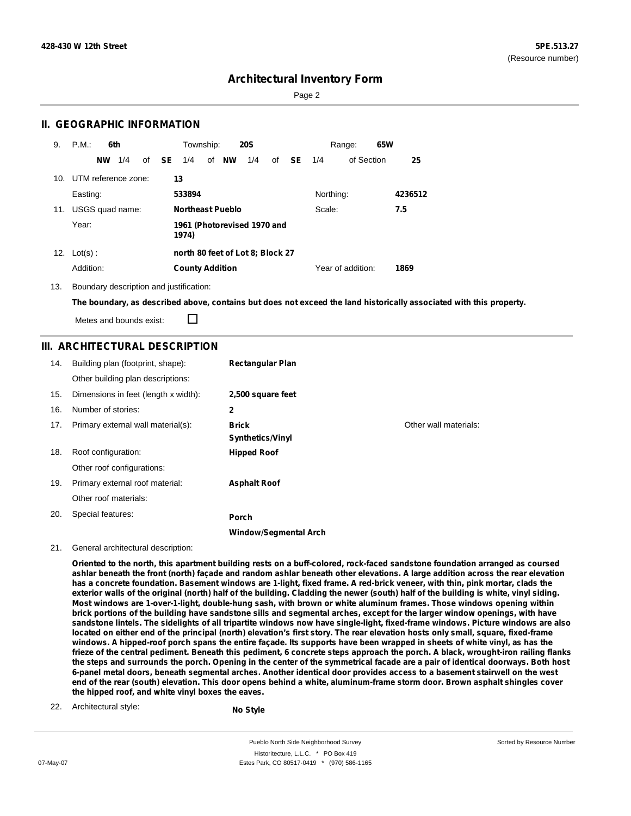Sorted by Resource Number

### **Architectural Inventory Form**

Page 2

### **II. GEOGRAPHIC INFORMATION**

| 9.  | P.M.<br>6th         | Township:<br><b>20S</b>                                     | 65W<br>Range:     |         |
|-----|---------------------|-------------------------------------------------------------|-------------------|---------|
|     | 1/4<br><b>NW</b>    | <b>NW</b><br>of <b>SE</b><br>of<br>1/4<br>1/4<br>of<br>SE – | of Section<br>1/4 | 25      |
| 10. | UTM reference zone: | 13                                                          |                   |         |
|     | Easting:            | 533894                                                      | Northing:         | 4236512 |
| 11. | USGS quad name:     | <b>Northeast Pueblo</b>                                     | Scale:            | 7.5     |
|     | Year:               | 1961 (Photorevised 1970 and<br>1974)                        |                   |         |
| 12. | $Lot(s)$ :          | north 80 feet of Lot 8; Block 27                            |                   |         |
|     | Addition:           | <b>County Addition</b>                                      | Year of addition: | 1869    |

13. Boundary description and justification:

The boundary, as described above, contains but does not exceed the land historically associated with this property.

Metes and bounds exist:

П

### **III. ARCHITECTURAL DESCRIPTION**

| 14. | Building plan (footprint, shape):    | <b>Rectangular Plan</b>      |                       |
|-----|--------------------------------------|------------------------------|-----------------------|
|     | Other building plan descriptions:    |                              |                       |
| 15. | Dimensions in feet (length x width): | 2,500 square feet            |                       |
| 16. | Number of stories:                   | 2                            |                       |
| 17. | Primary external wall material(s):   | <b>Brick</b>                 | Other wall materials: |
|     |                                      | <b>Synthetics/Vinyl</b>      |                       |
| 18. | Roof configuration:                  | <b>Hipped Roof</b>           |                       |
|     | Other roof configurations:           |                              |                       |
| 19. | Primary external roof material:      | <b>Asphalt Roof</b>          |                       |
|     | Other roof materials:                |                              |                       |
| 20. | Special features:                    | Porch                        |                       |
|     |                                      | <b>Window/Segmental Arch</b> |                       |

#### 21. General architectural description:

Oriented to the north, this apartment building rests on a buff-colored, rock-faced sandstone foundation arranged as coursed ashlar beneath the front (north) façade and random ashlar beneath other elevations. A large addition across the rear elevation has a concrete foundation. Basement windows are 1-light, fixed frame. A red-brick veneer, with thin, pink mortar, clads the exterior walls of the original (north) half of the building. Cladding the newer (south) half of the building is white, vinyl siding. Most windows are 1-over-1-light, double-hung sash, with brown or white aluminum frames. Those windows opening within brick portions of the building have sandstone sills and segmental arches, except for the larger window openings, with have sandstone lintels. The sidelights of all tripartite windows now have single-light, fixed-frame windows. Picture windows are also located on either end of the principal (north) elevation's first story. The rear elevation hosts only small, square, fixed-frame windows. A hipped-roof porch spans the entire facade. Its supports have been wrapped in sheets of white vinyl, as has the frieze of the central pediment. Beneath this pediment, 6 concrete steps approach the porch. A black, wrought-iron railing flanks the steps and surrounds the porch. Opening in the center of the symmetrical facade are a pair of identical doorways. Both host 6-panel metal doors, beneath segmental arches. Another identical door provides access to a basement stairwell on the west end of the rear (south) elevation. This door opens behind a white, aluminum-frame storm door. Brown asphalt shingles cover **the hipped roof, and white vinyl boxes the eaves.**

22. Architectural style:

**No Style**

Pueblo North Side Neighborhood Survey Historitecture, L.L.C. \* PO Box 419 07-May-07 **Estes Park, CO 80517-0419** \* (970) 586-1165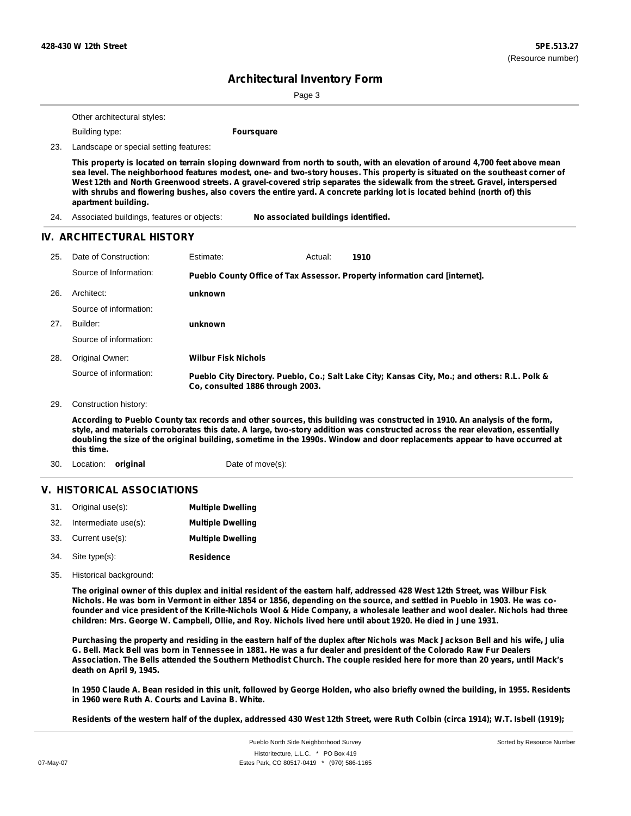Page 3

Other architectural styles:

Building type: **Foursquare**

23. Landscape or special setting features:

This property is located on terrain sloping downward from north to south, with an elevation of around 4,700 feet above mean sea level. The neighborhood features modest, one- and two-story houses. This property is situated on the southeast corner of West 12th and North Greenwood streets. A gravel-covered strip separates the sidewalk from the street. Gravel, interspersed with shrubs and flowering bushes, also covers the entire yard. A concrete parking lot is located behind (north of) this **apartment building.**

24. Associated buildings, features or objects: **No associated buildings identified.**

#### **IV. ARCHITECTURAL HISTORY**

| 25. | Date of Construction:<br>Source of Information: | Estimate:<br>1910<br>Actual:<br>Pueblo County Office of Tax Assessor. Property information card [internet].                       |
|-----|-------------------------------------------------|-----------------------------------------------------------------------------------------------------------------------------------|
| 26. | Architect:                                      | unknown                                                                                                                           |
|     | Source of information:                          |                                                                                                                                   |
| 27. | Builder:                                        | unknown                                                                                                                           |
|     | Source of information:                          |                                                                                                                                   |
| 28. | Original Owner:                                 | <b>Wilbur Fisk Nichols</b>                                                                                                        |
|     | Source of information:                          | Pueblo City Directory. Pueblo, Co.; Salt Lake City; Kansas City, Mo.; and others: R.L. Polk &<br>Co. consulted 1886 through 2003. |
| 29. | Construction history:                           |                                                                                                                                   |

According to Pueblo County tax records and other sources, this building was constructed in 1910. An analysis of the form, style, and materials corroborates this date. A large, two-story addition was constructed across the rear elevation, essentially doubling the size of the original building, sometime in the 1990s. Window and door replacements appear to have occurred at **this time.**

30. Location: **original** Date of move(s):

#### **V. HISTORICAL ASSOCIATIONS**

| 31. Original use(s):     | <b>Multiple Dwelling</b> |
|--------------------------|--------------------------|
| 32. Intermediate use(s): | <b>Multiple Dwelling</b> |
| 33. Current use(s):      | <b>Multiple Dwelling</b> |
| 34. Site type(s):        | Residence                |

35. Historical background:

The original owner of this duplex and initial resident of the eastern half, addressed 428 West 12th Street, was Wilbur Fisk Nichols. He was born in Vermont in either 1854 or 1856, depending on the source, and settled in Pueblo in 1903. He was cofounder and vice president of the Krille-Nichols Wool & Hide Company, a wholesale leather and wool dealer. Nichols had three children: Mrs. George W. Campbell, Ollie, and Roy. Nichols lived here until about 1920. He died in June 1931.

Purchasing the property and residing in the eastern half of the duplex after Nichols was Mack Jackson Bell and his wife, Julia G. Bell. Mack Bell was born in Tennessee in 1881. He was a fur dealer and president of the Colorado Raw Fur Dealers Association. The Bells attended the Southern Methodist Church. The couple resided here for more than 20 years, until Mack's **death on April 9, 1945.**

In 1950 Claude A. Bean resided in this unit, followed by George Holden, who also briefly owned the building, in 1955. Residents **in 1960 were Ruth A. Courts and Lavina B. White.**

Residents of the western half of the duplex, addressed 430 West 12th Street, were Ruth Colbin (circa 1914); W.T. Isbell (1919);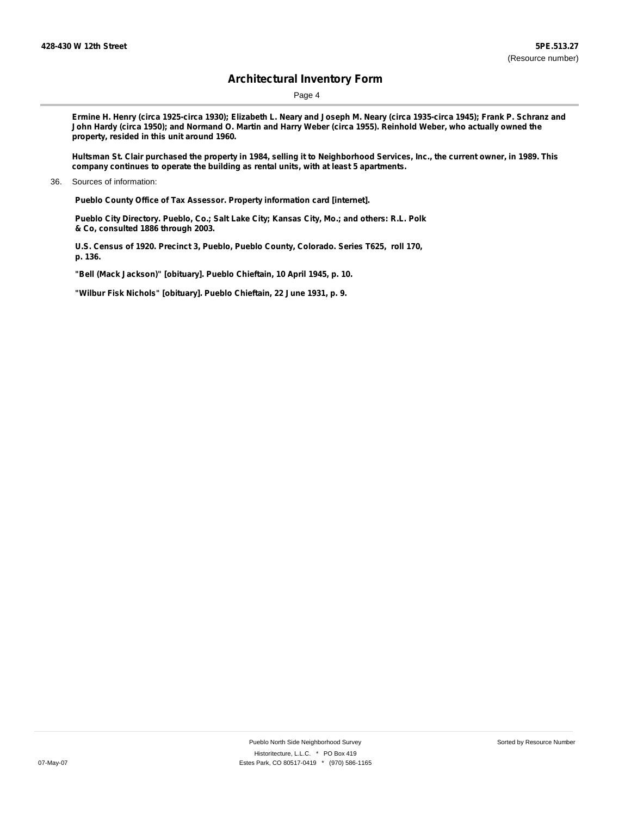Page 4

Ermine H. Henry (circa 1925-circa 1930); Elizabeth L. Neary and Joseph M. Neary (circa 1935-circa 1945); Frank P. Schranz and John Hardy (circa 1950); and Normand O. Martin and Harry Weber (circa 1955). Reinhold Weber, who actually owned the **property, resided in this unit around 1960.**

Hultsman St. Clair purchased the property in 1984, selling it to Neighborhood Services, Inc., the current owner, in 1989. This **company continues to operate the building as rental units, with at least 5 apartments.**

36. Sources of information:

**Pueblo County Office of Tax Assessor. Property information card [internet].**

**Pueblo City Directory. Pueblo, Co.; Salt Lake City; Kansas City, Mo.; and others: R.L. Polk & Co, consulted 1886 through 2003.**

**U.S. Census of 1920. Precinct 3, Pueblo, Pueblo County, Colorado. Series T625, roll 170, p. 136.**

**"Bell (Mack Jackson)" [obituary]. Pueblo Chieftain, 10 April 1945, p. 10.**

**"Wilbur Fisk Nichols" [obituary]. Pueblo Chieftain, 22 June 1931, p. 9.**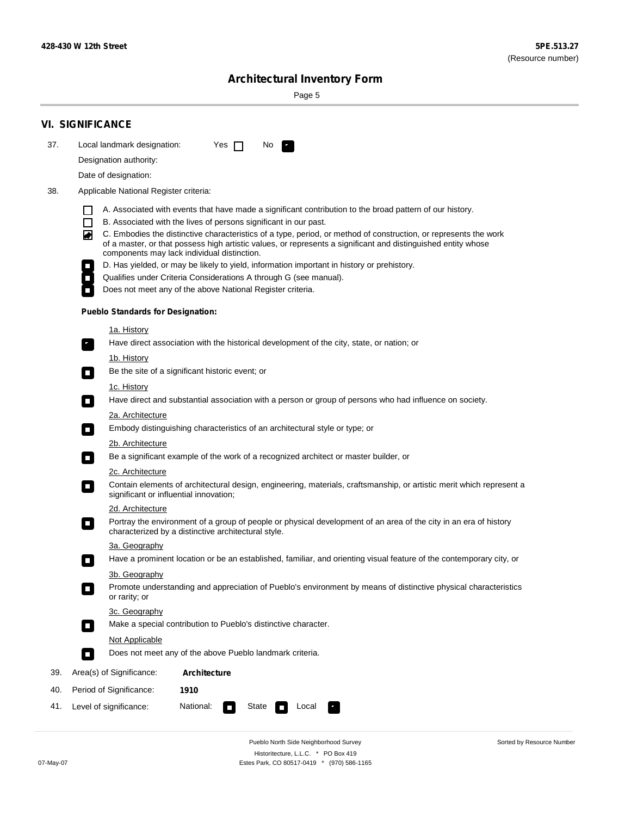÷

Sorted by Resource Number

# **Architectural Inventory Form**

Page 5

|     | <b>VI. SIGNIFICANCE</b>                                                                                                                                                                                                                |  |
|-----|----------------------------------------------------------------------------------------------------------------------------------------------------------------------------------------------------------------------------------------|--|
| 37. | Local landmark designation:<br>Yes $\Box$<br>No.<br>$\mathbf{F}$                                                                                                                                                                       |  |
|     | Designation authority:                                                                                                                                                                                                                 |  |
|     | Date of designation:                                                                                                                                                                                                                   |  |
| 38. | Applicable National Register criteria:                                                                                                                                                                                                 |  |
|     |                                                                                                                                                                                                                                        |  |
|     | A. Associated with events that have made a significant contribution to the broad pattern of our history.<br>П<br>B. Associated with the lives of persons significant in our past.                                                      |  |
|     | C. Embodies the distinctive characteristics of a type, period, or method of construction, or represents the work<br>◙<br>of a master, or that possess high artistic values, or represents a significant and distinguished entity whose |  |
|     | components may lack individual distinction.<br>D. Has yielded, or may be likely to yield, information important in history or prehistory.                                                                                              |  |
|     | $\mathcal{L}_{\mathcal{A}}$<br>Qualifies under Criteria Considerations A through G (see manual).<br>$\mathcal{L}_{\mathcal{A}}$                                                                                                        |  |
|     | Does not meet any of the above National Register criteria.<br>$\overline{\phantom{a}}$                                                                                                                                                 |  |
|     | <b>Pueblo Standards for Designation:</b>                                                                                                                                                                                               |  |
|     | <u>1a. History</u>                                                                                                                                                                                                                     |  |
|     | Have direct association with the historical development of the city, state, or nation; or<br>$\mathcal{F}_1$                                                                                                                           |  |
|     | 1b. History                                                                                                                                                                                                                            |  |
|     | Be the site of a significant historic event; or<br>$\sim$                                                                                                                                                                              |  |
|     | 1c. History                                                                                                                                                                                                                            |  |
|     | Have direct and substantial association with a person or group of persons who had influence on society.<br>$\overline{\phantom{a}}$                                                                                                    |  |
|     | 2a. Architecture                                                                                                                                                                                                                       |  |
|     | Embody distinguishing characteristics of an architectural style or type; or<br>О                                                                                                                                                       |  |
|     | <u>2b. Architecture</u>                                                                                                                                                                                                                |  |
|     | Be a significant example of the work of a recognized architect or master builder, or<br>$\mathcal{L}_{\mathcal{A}}$                                                                                                                    |  |
|     | 2c. Architecture                                                                                                                                                                                                                       |  |
|     | Contain elements of architectural design, engineering, materials, craftsmanship, or artistic merit which represent a<br>$\blacksquare$<br>significant or influential innovation;                                                       |  |
|     | 2d. Architecture                                                                                                                                                                                                                       |  |
|     | Portray the environment of a group of people or physical development of an area of the city in an era of history<br>$\Box$<br>characterized by a distinctive architectural style.                                                      |  |
|     | 3a. Geography                                                                                                                                                                                                                          |  |
|     | Have a prominent location or be an established, familiar, and orienting visual feature of the contemporary city, or                                                                                                                    |  |
|     | 3b. Geography                                                                                                                                                                                                                          |  |
|     | Promote understanding and appreciation of Pueblo's environment by means of distinctive physical characteristics<br>I.<br>or rarity; or                                                                                                 |  |
|     | 3c. Geography                                                                                                                                                                                                                          |  |
|     | Make a special contribution to Pueblo's distinctive character.<br>$\mathcal{L}_{\mathcal{A}}$                                                                                                                                          |  |
|     | Not Applicable                                                                                                                                                                                                                         |  |
|     | Does not meet any of the above Pueblo landmark criteria.<br>$\Box$                                                                                                                                                                     |  |
| 39. | Area(s) of Significance:<br><b>Architecture</b>                                                                                                                                                                                        |  |
| 40. | Period of Significance:<br>1910                                                                                                                                                                                                        |  |
| 41. | National:<br>Level of significance:<br>State<br>Local<br>κ,<br>$\sim$                                                                                                                                                                  |  |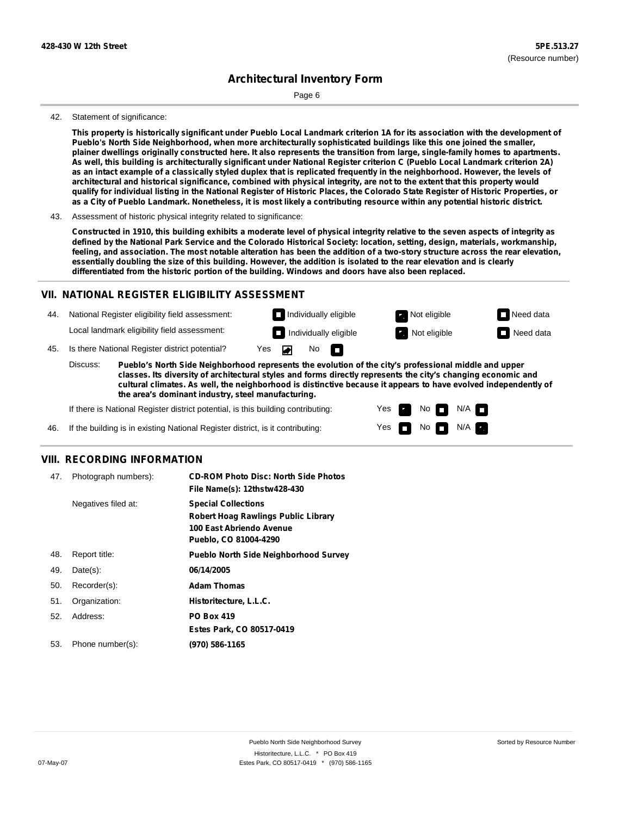Page 6

#### 42. Statement of significance:

This property is historically significant under Pueblo Local Landmark criterion 1A for its association with the development of **Pueblo's North Side Neighborhood, when more architecturally sophisticated buildings like this one joined the smaller,** plainer dwellings originally constructed here. It also represents the transition from large, single-family homes to apartments. As well, this building is architecturally significant under National Register criterion C (Pueblo Local Landmark criterion 2A) as an intact example of a classically styled duplex that is replicated frequently in the neighborhood. However, the levels of architectural and historical significance, combined with physical integrity, are not to the extent that this property would qualify for individual listing in the National Register of Historic Places, the Colorado State Register of Historic Properties, or as a City of Pueblo Landmark. Nonetheless, it is most likely a contributing resource within any potential historic district.

43. Assessment of historic physical integrity related to significance:

Constructed in 1910, this building exhibits a moderate level of physical integrity relative to the seven aspects of integrity as defined by the National Park Service and the Colorado Historical Society: location, setting, design, materials, workmanship, feeling, and association. The most notable alteration has been the addition of a two-story structure across the rear elevation, essentially doubling the size of this building. However, the addition is isolated to the rear elevation and is clearly **differentiated from the historic portion of the building. Windows and doors have also been replaced.**

### **VII. NATIONAL REGISTER ELIGIBILITY ASSESSMENT**

44. National Register eligibility field assessment: Local landmark eligibility field assessment: **Individually eligible Not eligible** Not eligible **Need data Individually eligible Not eligible** Not eligible **Need data** 

45. Is there National Register district potential? Yes ▰

**Pueblo's North Side Neighborhood represents the evolution of the city's professional middle and upper classes. Its diversity of architectural styles and forms directly represents the city's changing economic and cultural climates. As well, the neighborhood is distinctive because it appears to have evolved independently of the area's dominant industry, steel manufacturing.** Discuss:

No

IT.

Yes Yes No

 $No$   $M/A$ 

N/A

If there is National Register district potential, is this building contributing:

If the building is in existing National Register district, is it contributing: 46.

### **VIII. RECORDING INFORMATION**

| 47. | Photograph numbers): | <b>CD-ROM Photo Disc: North Side Photos</b><br>File Name(s): 12thstw428-430                                                   |
|-----|----------------------|-------------------------------------------------------------------------------------------------------------------------------|
|     | Negatives filed at:  | <b>Special Collections</b><br><b>Robert Hoag Rawlings Public Library</b><br>100 East Abriendo Avenue<br>Pueblo, CO 81004-4290 |
| 48. | Report title:        | <b>Pueblo North Side Neighborhood Survey</b>                                                                                  |
| 49. | $Date(s)$ :          | 06/14/2005                                                                                                                    |
| 50. | Recorder(s):         | <b>Adam Thomas</b>                                                                                                            |
| 51. | Organization:        | Historitecture, L.L.C.                                                                                                        |
| 52. | Address:             | <b>PO Box 419</b>                                                                                                             |
|     |                      | Estes Park, CO 80517-0419                                                                                                     |
| 53. | Phone number(s):     | (970) 586-1165                                                                                                                |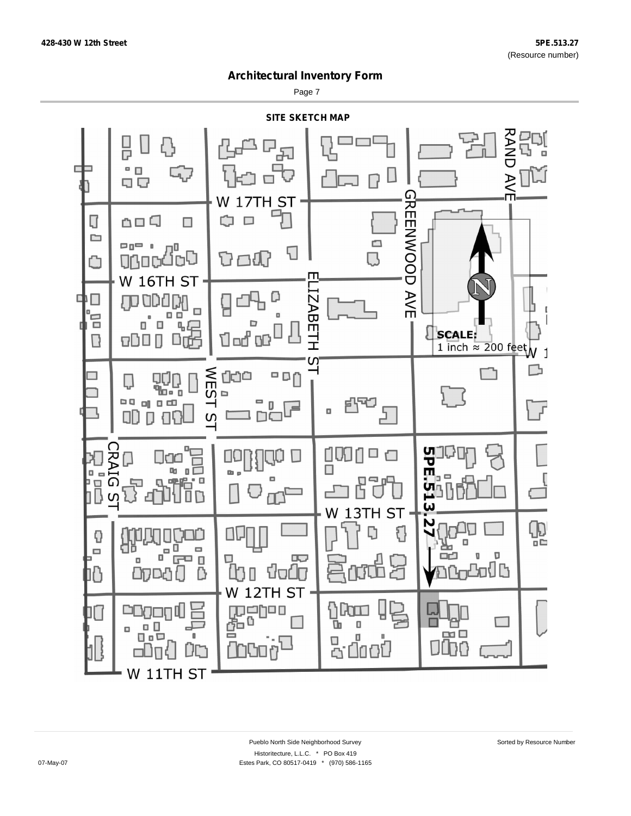Page 7